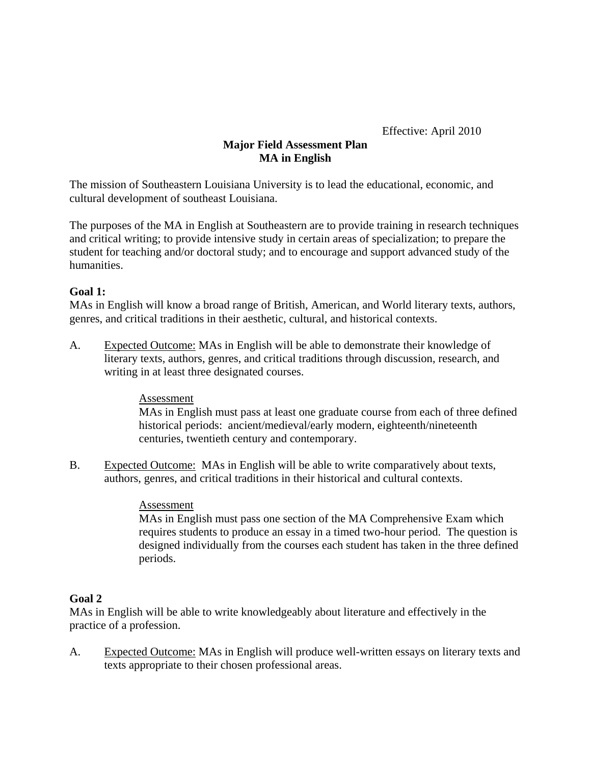Effective: April 2010

# **Major Field Assessment Plan MA in English**

The mission of Southeastern Louisiana University is to lead the educational, economic, and cultural development of southeast Louisiana.

The purposes of the MA in English at Southeastern are to provide training in research techniques and critical writing; to provide intensive study in certain areas of specialization; to prepare the student for teaching and/or doctoral study; and to encourage and support advanced study of the humanities.

## **Goal 1:**

MAs in English will know a broad range of British, American, and World literary texts, authors, genres, and critical traditions in their aesthetic, cultural, and historical contexts.

A. Expected Outcome: MAs in English will be able to demonstrate their knowledge of literary texts, authors, genres, and critical traditions through discussion, research, and writing in at least three designated courses.

## Assessment

MAs in English must pass at least one graduate course from each of three defined historical periods: ancient/medieval/early modern, eighteenth/nineteenth centuries, twentieth century and contemporary.

B. Expected Outcome: MAs in English will be able to write comparatively about texts, authors, genres, and critical traditions in their historical and cultural contexts.

## Assessment

MAs in English must pass one section of the MA Comprehensive Exam which requires students to produce an essay in a timed two-hour period. The question is designed individually from the courses each student has taken in the three defined periods.

## **Goal 2**

MAs in English will be able to write knowledgeably about literature and effectively in the practice of a profession.

A. Expected Outcome: MAs in English will produce well-written essays on literary texts and texts appropriate to their chosen professional areas.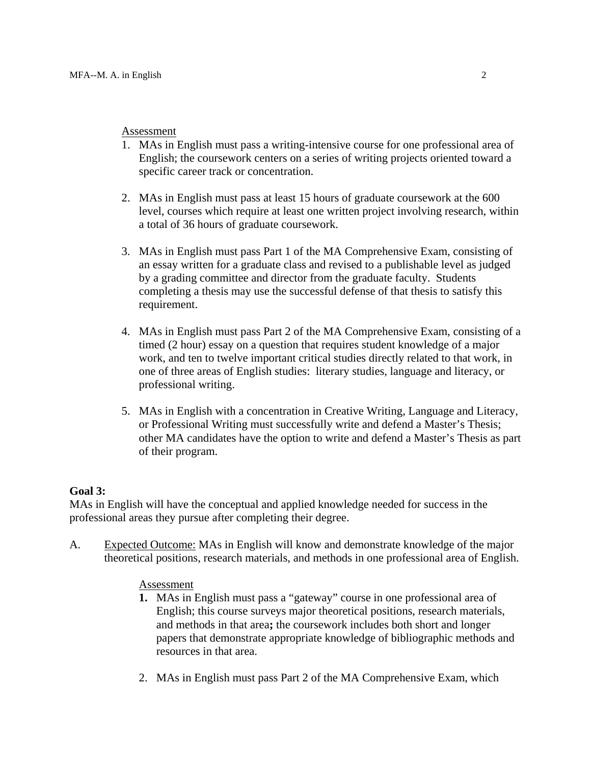### Assessment

- 1. MAs in English must pass a writing-intensive course for one professional area of English; the coursework centers on a series of writing projects oriented toward a specific career track or concentration.
- 2. MAs in English must pass at least 15 hours of graduate coursework at the 600 level, courses which require at least one written project involving research, within a total of 36 hours of graduate coursework.
- 3. MAs in English must pass Part 1 of the MA Comprehensive Exam, consisting of an essay written for a graduate class and revised to a publishable level as judged by a grading committee and director from the graduate faculty. Students completing a thesis may use the successful defense of that thesis to satisfy this requirement.
- 4. MAs in English must pass Part 2 of the MA Comprehensive Exam, consisting of a timed (2 hour) essay on a question that requires student knowledge of a major work, and ten to twelve important critical studies directly related to that work, in one of three areas of English studies: literary studies, language and literacy, or professional writing.
- 5. MAs in English with a concentration in Creative Writing, Language and Literacy, or Professional Writing must successfully write and defend a Master's Thesis; other MA candidates have the option to write and defend a Master's Thesis as part of their program.

## **Goal 3:**

MAs in English will have the conceptual and applied knowledge needed for success in the professional areas they pursue after completing their degree.

A. Expected Outcome: MAs in English will know and demonstrate knowledge of the major theoretical positions, research materials, and methods in one professional area of English.

## Assessment

- **1.** MAs in English must pass a "gateway" course in one professional area of English; this course surveys major theoretical positions, research materials, and methods in that area**;** the coursework includes both short and longer papers that demonstrate appropriate knowledge of bibliographic methods and resources in that area.
- 2. MAs in English must pass Part 2 of the MA Comprehensive Exam, which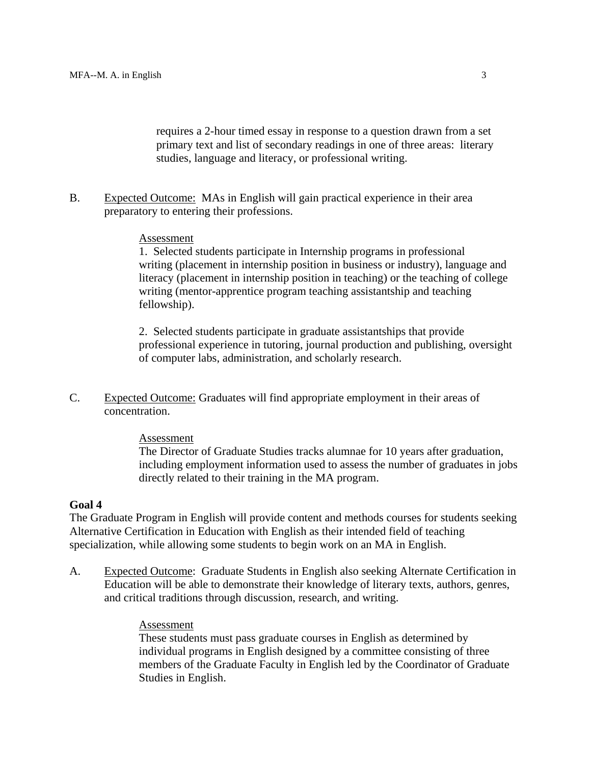requires a 2-hour timed essay in response to a question drawn from a set primary text and list of secondary readings in one of three areas: literary studies, language and literacy, or professional writing.

B. Expected Outcome: MAs in English will gain practical experience in their area preparatory to entering their professions.

### **Assessment**

1. Selected students participate in Internship programs in professional writing (placement in internship position in business or industry), language and literacy (placement in internship position in teaching) or the teaching of college writing (mentor-apprentice program teaching assistantship and teaching fellowship).

2. Selected students participate in graduate assistantships that provide professional experience in tutoring, journal production and publishing, oversight of computer labs, administration, and scholarly research.

C. Expected Outcome: Graduates will find appropriate employment in their areas of concentration.

### Assessment

The Director of Graduate Studies tracks alumnae for 10 years after graduation, including employment information used to assess the number of graduates in jobs directly related to their training in the MA program.

## **Goal 4**

The Graduate Program in English will provide content and methods courses for students seeking Alternative Certification in Education with English as their intended field of teaching specialization, while allowing some students to begin work on an MA in English.

A. Expected Outcome: Graduate Students in English also seeking Alternate Certification in Education will be able to demonstrate their knowledge of literary texts, authors, genres, and critical traditions through discussion, research, and writing.

### Assessment

These students must pass graduate courses in English as determined by individual programs in English designed by a committee consisting of three members of the Graduate Faculty in English led by the Coordinator of Graduate Studies in English.